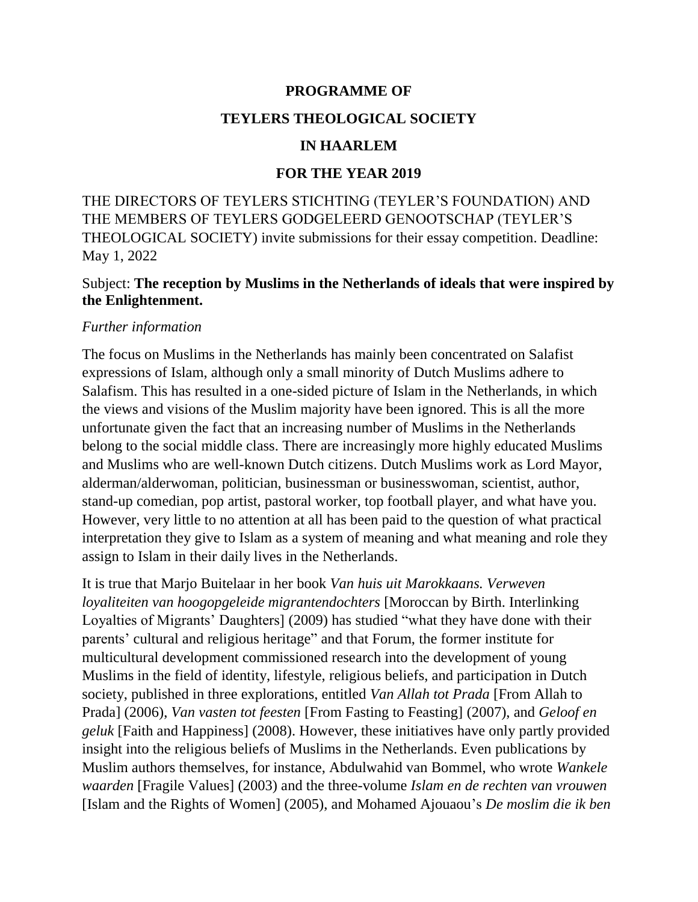## **PROGRAMME OF**

## **TEYLERS THEOLOGICAL SOCIETY**

#### **IN HAARLEM**

#### **FOR THE YEAR 2019**

THE DIRECTORS OF TEYLERS STICHTING (TEYLER'S FOUNDATION) AND THE MEMBERS OF TEYLERS GODGELEERD GENOOTSCHAP (TEYLER'S THEOLOGICAL SOCIETY) invite submissions for their essay competition. Deadline: May 1, 2022

## Subject: **The reception by Muslims in the Netherlands of ideals that were inspired by the Enlightenment.**

#### *Further information*

The focus on Muslims in the Netherlands has mainly been concentrated on Salafist expressions of Islam, although only a small minority of Dutch Muslims adhere to Salafism. This has resulted in a one-sided picture of Islam in the Netherlands, in which the views and visions of the Muslim majority have been ignored. This is all the more unfortunate given the fact that an increasing number of Muslims in the Netherlands belong to the social middle class. There are increasingly more highly educated Muslims and Muslims who are well-known Dutch citizens. Dutch Muslims work as Lord Mayor, alderman/alderwoman, politician, businessman or businesswoman, scientist, author, stand-up comedian, pop artist, pastoral worker, top football player, and what have you. However, very little to no attention at all has been paid to the question of what practical interpretation they give to Islam as a system of meaning and what meaning and role they assign to Islam in their daily lives in the Netherlands.

It is true that Marjo Buitelaar in her book *Van huis uit Marokkaans. Verweven loyaliteiten van hoogopgeleide migrantendochters* [Moroccan by Birth. Interlinking Loyalties of Migrants' Daughters] (2009) has studied "what they have done with their parents' cultural and religious heritage" and that Forum, the former institute for multicultural development commissioned research into the development of young Muslims in the field of identity, lifestyle, religious beliefs, and participation in Dutch society, published in three explorations, entitled *Van Allah tot Prada* [From Allah to Prada] (2006), *Van vasten tot feesten* [From Fasting to Feasting] (2007), and *Geloof en geluk* [Faith and Happiness] (2008). However, these initiatives have only partly provided insight into the religious beliefs of Muslims in the Netherlands. Even publications by Muslim authors themselves, for instance, Abdulwahid van Bommel, who wrote *Wankele waarden* [Fragile Values] (2003) and the three-volume *Islam en de rechten van vrouwen* [Islam and the Rights of Women] (2005), and Mohamed Ajouaou's *De moslim die ik ben*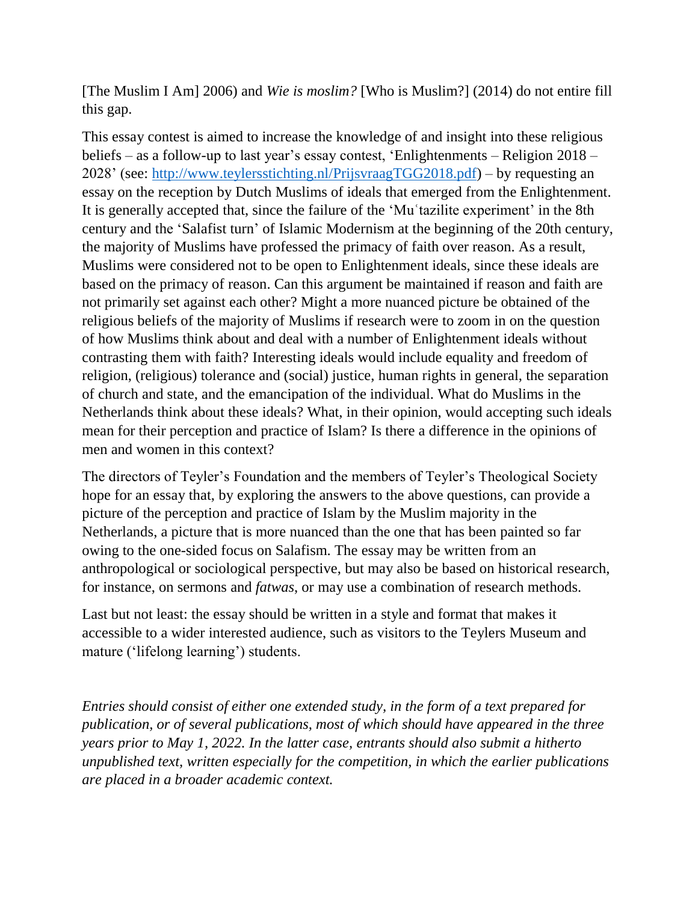[The Muslim I Am] 2006) and *Wie is moslim?* [Who is Muslim?] (2014) do not entire fill this gap.

This essay contest is aimed to increase the knowledge of and insight into these religious beliefs – as a follow-up to last year's essay contest, 'Enlightenments – Religion 2018 – 2028' (see: [http://www.teylersstichting.nl/PrijsvraagTGG2018.pdf\)](http://www.teylersstichting.nl/PrijsvraagTGG2018.pdf) – by requesting an essay on the reception by Dutch Muslims of ideals that emerged from the Enlightenment. It is generally accepted that, since the failure of the 'Muʿtazilite experiment' in the 8th century and the 'Salafist turn' of Islamic Modernism at the beginning of the 20th century, the majority of Muslims have professed the primacy of faith over reason. As a result, Muslims were considered not to be open to Enlightenment ideals, since these ideals are based on the primacy of reason. Can this argument be maintained if reason and faith are not primarily set against each other? Might a more nuanced picture be obtained of the religious beliefs of the majority of Muslims if research were to zoom in on the question of how Muslims think about and deal with a number of Enlightenment ideals without contrasting them with faith? Interesting ideals would include equality and freedom of religion, (religious) tolerance and (social) justice, human rights in general, the separation of church and state, and the emancipation of the individual. What do Muslims in the Netherlands think about these ideals? What, in their opinion, would accepting such ideals mean for their perception and practice of Islam? Is there a difference in the opinions of men and women in this context?

The directors of Teyler's Foundation and the members of Teyler's Theological Society hope for an essay that, by exploring the answers to the above questions, can provide a picture of the perception and practice of Islam by the Muslim majority in the Netherlands, a picture that is more nuanced than the one that has been painted so far owing to the one-sided focus on Salafism. The essay may be written from an anthropological or sociological perspective, but may also be based on historical research, for instance, on sermons and *fatwas*, or may use a combination of research methods.

Last but not least: the essay should be written in a style and format that makes it accessible to a wider interested audience, such as visitors to the Teylers Museum and mature ('lifelong learning') students.

*Entries should consist of either one extended study, in the form of a text prepared for publication, or of several publications, most of which should have appeared in the three years prior to May 1, 2022. In the latter case, entrants should also submit a hitherto unpublished text, written especially for the competition, in which the earlier publications are placed in a broader academic context.*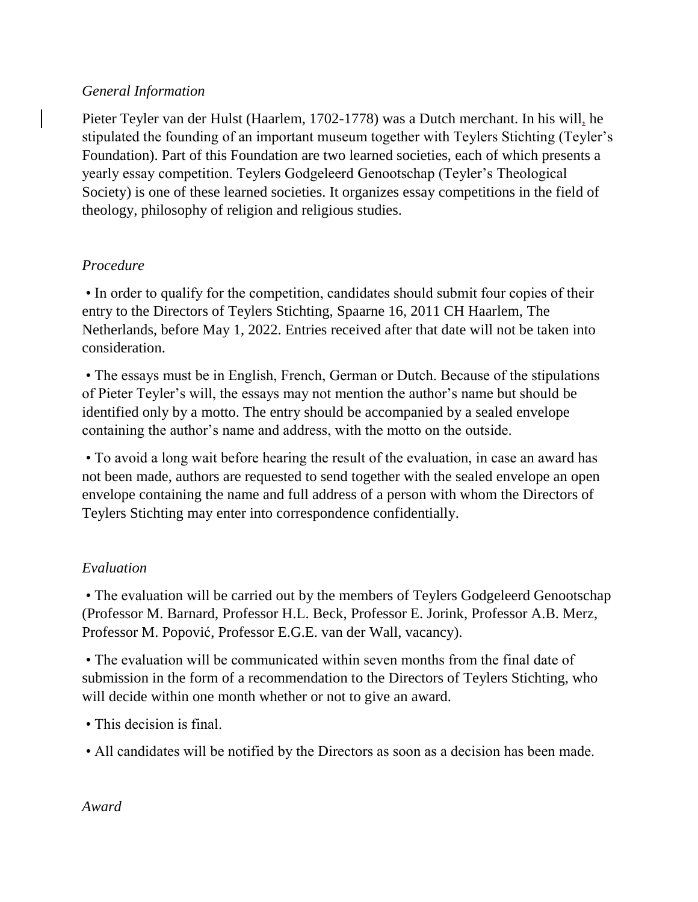## *General Information*

Pieter Teyler van der Hulst (Haarlem, 1702-1778) was a Dutch merchant. In his will, he stipulated the founding of an important museum together with Teylers Stichting (Teyler's Foundation). Part of this Foundation are two learned societies, each of which presents a yearly essay competition. Teylers Godgeleerd Genootschap (Teyler's Theological Society) is one of these learned societies. It organizes essay competitions in the field of theology, philosophy of religion and religious studies.

## *Procedure*

• In order to qualify for the competition, candidates should submit four copies of their entry to the Directors of Teylers Stichting, Spaarne 16, 2011 CH Haarlem, The Netherlands, before May 1, 2022. Entries received after that date will not be taken into consideration.

• The essays must be in English, French, German or Dutch. Because of the stipulations of Pieter Teyler's will, the essays may not mention the author's name but should be identified only by a motto. The entry should be accompanied by a sealed envelope containing the author's name and address, with the motto on the outside.

• To avoid a long wait before hearing the result of the evaluation, in case an award has not been made, authors are requested to send together with the sealed envelope an open envelope containing the name and full address of a person with whom the Directors of Teylers Stichting may enter into correspondence confidentially.

#### *Evaluation*

• The evaluation will be carried out by the members of Teylers Godgeleerd Genootschap (Professor M. Barnard, Professor H.L. Beck, Professor E. Jorink, Professor A.B. Merz, Professor M. Popović, Professor E.G.E. van der Wall, vacancy).

• The evaluation will be communicated within seven months from the final date of submission in the form of a recommendation to the Directors of Teylers Stichting, who will decide within one month whether or not to give an award.

- This decision is final.
- All candidates will be notified by the Directors as soon as a decision has been made.

#### *Award*